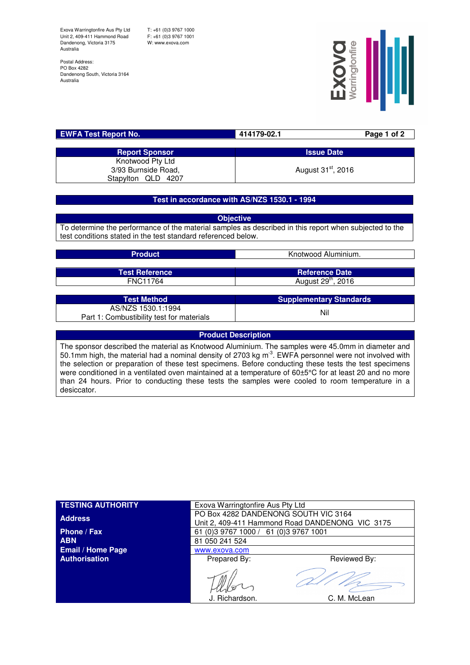Exova Warringtonfire Aus Pty Ltd Unit 2, 409-411 Hammond Road Dandenong, Victoria 3175 Australia

T: +61 (0)3 9767 1000 F: +61 (0)3 9767 1001 W: www.exova.com

Postal Address: PO Box 4282 Dandenong South, Victoria 3164 Australia



| <b>EWFA Test Report No.</b> | 414179-02.1                    | Page 1 of 2 |
|-----------------------------|--------------------------------|-------------|
|                             |                                |             |
| <b>Report Sponsor</b>       | <b>Issue Date</b>              |             |
| Knotwood Pty Ltd            |                                |             |
| 3/93 Burnside Road,         | August 31 <sup>st</sup> , 2016 |             |
| Stapylton QLD 4207          |                                |             |

### **Test in accordance with AS/NZS 1530.1 - 1994**

**Objective** To determine the performance of the material samples as described in this report when subjected to the test conditions stated in the test standard referenced below.

| <b>Product</b>                                                  | Knotwood Aluminium.            |  |
|-----------------------------------------------------------------|--------------------------------|--|
| <b>Test Reference</b>                                           | <b>Reference Date</b>          |  |
| <b>FNC11764</b>                                                 | August 29 <sup>th</sup> , 2016 |  |
|                                                                 |                                |  |
| <b>Test Method</b>                                              | <b>Supplementary Standards</b> |  |
| AS/NZS 1530.1:1994<br>Part 1: Combustibility test for materials | Nil                            |  |

**Product Description** The sponsor described the material as Knotwood Aluminium. The samples were 45.0mm in diameter and 50.1mm high, the material had a nominal density of 2703 kg m<sup>3</sup>. EWFA personnel were not involved with the selection or preparation of these test specimens. Before conducting these tests the test specimens were conditioned in a ventilated oven maintained at a temperature of 60±5°C for at least 20 and no more than 24 hours. Prior to conducting these tests the samples were cooled to room temperature in a desiccator.

| <b>TESTING AUTHORITY</b> | Exova Warringtonfire Aus Pty Ltd                                                        |              |  |
|--------------------------|-----------------------------------------------------------------------------------------|--------------|--|
| <b>Address</b>           | PO Box 4282 DANDENONG SOUTH VIC 3164<br>Unit 2, 409-411 Hammond Road DANDENONG VIC 3175 |              |  |
| Phone / Fax              | 61 (0) 3 9767 1000 / 61 (0) 3 9767 1001                                                 |              |  |
| <b>ABN</b>               | 81 050 241 524                                                                          |              |  |
| <b>Email / Home Page</b> | www.exova.com                                                                           |              |  |
| <b>Authorisation</b>     | Prepared By:                                                                            | Reviewed By: |  |
|                          | J. Richardson.                                                                          | C. M. McLean |  |